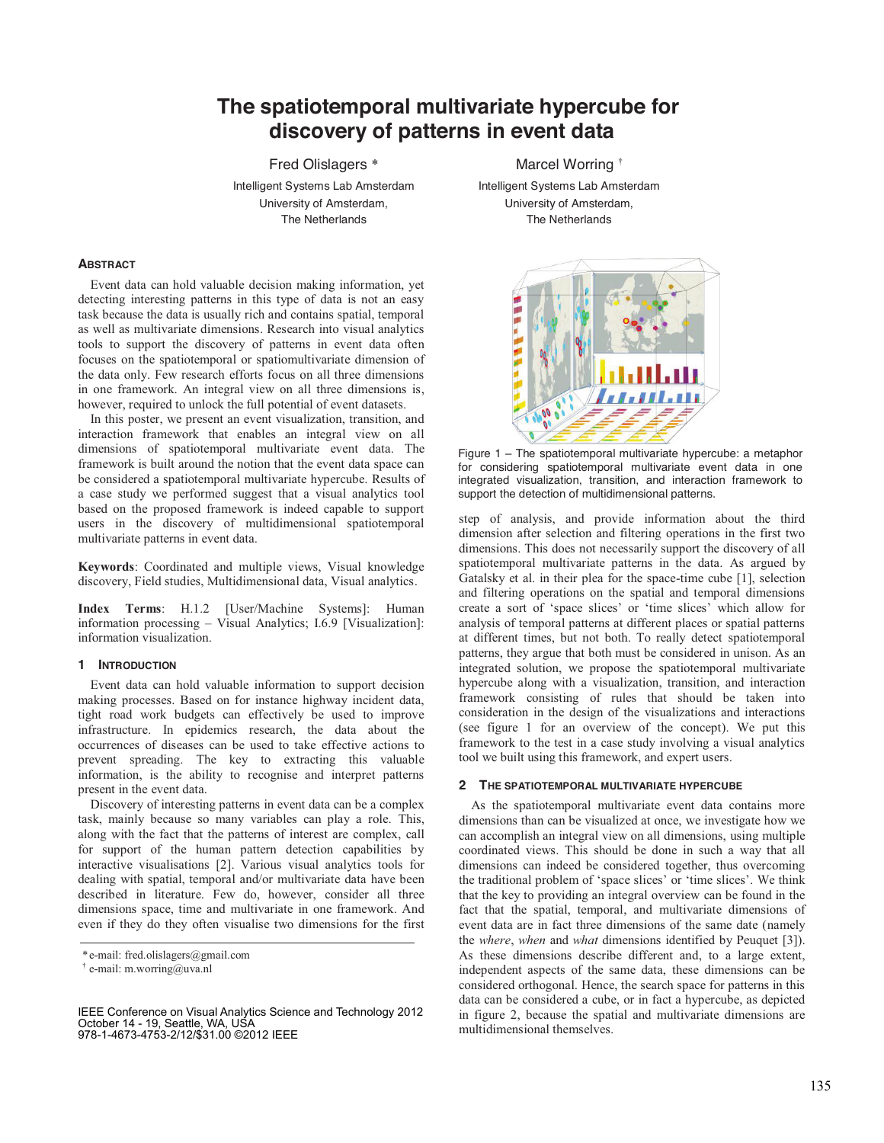# **The spatiotemporal multivariate hypercube for discovery of patterns in event data**

University of Amsterdam, University of Amsterdam,

**ABSTRACT**

Event data can hold valuable decision making information, yet detecting interesting patterns in this type of data is not an easy task because the data is usually rich and contains spatial, temporal as well as multivariate dimensions. Research into visual analytics tools to support the discovery of patterns in event data often focuses on the spatiotemporal or spatiomultivariate dimension of the data only. Few research efforts focus on all three dimensions in one framework. An integral view on all three dimensions is, however, required to unlock the full potential of event datasets.

In this poster, we present an event visualization, transition, and interaction framework that enables an integral view on all dimensions of spatiotemporal multivariate event data. The framework is built around the notion that the event data space can be considered a spatiotemporal multivariate hypercube. Results of a case study we performed suggest that a visual analytics tool based on the proposed framework is indeed capable to support users in the discovery of multidimensional spatiotemporal multivariate patterns in event data.

**Keywords**: Coordinated and multiple views, Visual knowledge discovery, Field studies, Multidimensional data, Visual analytics.

**Index Terms**: H.1.2 [User/Machine Systems]: Human information processing – Visual Analytics; I.6.9 [Visualization]: information visualization.

## **1 INTRODUCTION**

Event data can hold valuable information to support decision making processes. Based on for instance highway incident data, tight road work budgets can effectively be used to improve infrastructure. In epidemics research, the data about the occurrences of diseases can be used to take effective actions to prevent spreading. The key to extracting this valuable information, is the ability to recognise and interpret patterns present in the event data.

Discovery of interesting patterns in event data can be a complex task, mainly because so many variables can play a role. This, along with the fact that the patterns of interest are complex, call for support of the human pattern detection capabilities by interactive visualisations [2]. Various visual analytics tools for dealing with spatial, temporal and/or multivariate data have been described in literature. Few do, however, consider all three dimensions space, time and multivariate in one framework. And even if they do they often visualise two dimensions for the first

Fred Olislagers \* Marcel Worring † Intelligent Systems Lab Amsterdam Intelligent Systems Lab Amsterdam The Netherlands The Netherlands



Figure 1 – The spatiotemporal multivariate hypercube: a metaphor for considering spatiotemporal multivariate event data in one integrated visualization, transition, and interaction framework to support the detection of multidimensional patterns.

step of analysis, and provide information about the third dimension after selection and filtering operations in the first two dimensions. This does not necessarily support the discovery of all spatiotemporal multivariate patterns in the data. As argued by Gatalsky et al. in their plea for the space-time cube [1], selection and filtering operations on the spatial and temporal dimensions create a sort of 'space slices' or 'time slices' which allow for analysis of temporal patterns at different places or spatial patterns at different times, but not both. To really detect spatiotemporal patterns, they argue that both must be considered in unison. As an integrated solution, we propose the spatiotemporal multivariate hypercube along with a visualization, transition, and interaction framework consisting of rules that should be taken into consideration in the design of the visualizations and interactions (see figure 1 for an overview of the concept). We put this framework to the test in a case study involving a visual analytics tool we built using this framework, and expert users.

#### **2 THE SPATIOTEMPORAL MULTIVARIATE HYPERCUBE**

As the spatiotemporal multivariate event data contains more dimensions than can be visualized at once, we investigate how we can accomplish an integral view on all dimensions, using multiple coordinated views. This should be done in such a way that all dimensions can indeed be considered together, thus overcoming the traditional problem of 'space slices' or 'time slices'. We think that the key to providing an integral overview can be found in the fact that the spatial, temporal, and multivariate dimensions of event data are in fact three dimensions of the same date (namely the *where*, *when* and *what* dimensions identified by Peuquet [3]). As these dimensions describe different and, to a large extent, independent aspects of the same data, these dimensions can be considered orthogonal. Hence, the search space for patterns in this data can be considered a cube, or in fact a hypercube, as depicted in figure 2, because the spatial and multivariate dimensions are multidimensional themselves.

<sup>\*</sup> e-mail: fred.olislagers@gmail.com

<sup>†</sup> e-mail: m.worring@uva.nl

IEEE Conference on Visual Analytics Science and Technology 2012 October 14 - 19, Seattle, WA, USA 978-1-4673-4753-2/12/\$31.00 ©2012 IEEE